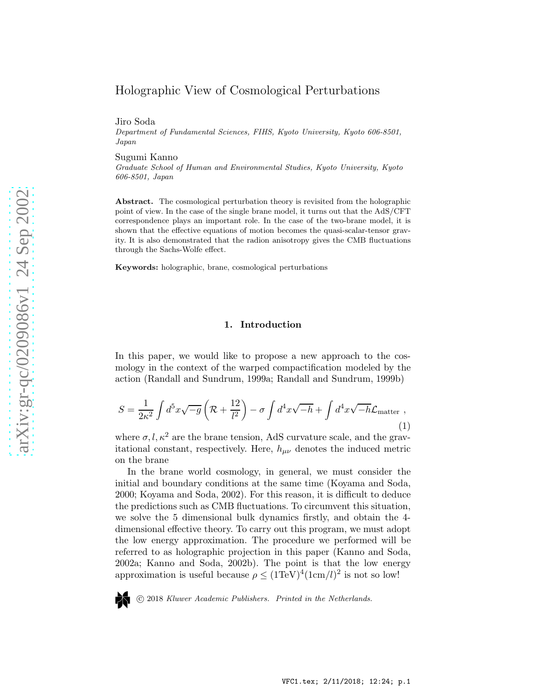# Holographic View of Cosmological Perturbations

Jiro Soda

Department of Fundamental Sciences, FIHS, Kyoto University, Kyoto 606-8501, Japan

Sugumi Kanno

Graduate School of Human and Environmental Studies, Kyoto University, Kyoto 606-8501, Japan

Abstract. The cosmological perturbation theory is revisited from the holographic point of view. In the case of the single brane model, it turns out that the AdS/CFT correspondence plays an important role. In the case of the two-brane model, it is shown that the effective equations of motion becomes the quasi-scalar-tensor gravity. It is also demonstrated that the radion anisotropy gives the CMB fluctuations through the Sachs-Wolfe effect.

Keywords: holographic, brane, cosmological perturbations

### 1. Introduction

In this paper, we would like to propose a new approach to the cosmology in the context of the warped compactification modeled by the action (Randall and Sundrum, 1999a; Randall and Sundrum, 1999b)

$$
S = \frac{1}{2\kappa^2} \int d^5 x \sqrt{-g} \left( \mathcal{R} + \frac{12}{l^2} \right) - \sigma \int d^4 x \sqrt{-h} + \int d^4 x \sqrt{-h} \mathcal{L}_{\text{matter}} ,
$$
\n(1)

where  $\sigma, l, \kappa^2$  are the brane tension, AdS curvature scale, and the gravitational constant, respectively. Here,  $h_{\mu\nu}$  denotes the induced metric on the brane

In the brane world cosmology, in general, we must consider th e initial and boundary conditions at the same time (Koyama and Soda, 2000; Koyama and Soda, 2002). For this reason, it is difficult to deduce the predictions such as CMB fluctuations. To circumvent this situation, we solve the 5 dimensional bulk dynamics firstly, and obtain the 4 dimensional effective theory. To carry out this program, we must adopt the low energy approximation. The procedure we performed will be referred to as holographic projection in this paper (Kanno and Soda, 2002a; Kanno and Soda, 2002b). The point is that the low energ y approximation is useful because  $\rho \leq (1 \text{TeV})^4 (1 \text{cm}/l)^2$  is not so low!

c 2018 Kluwer Academic Publishers. Printed in the Netherlands.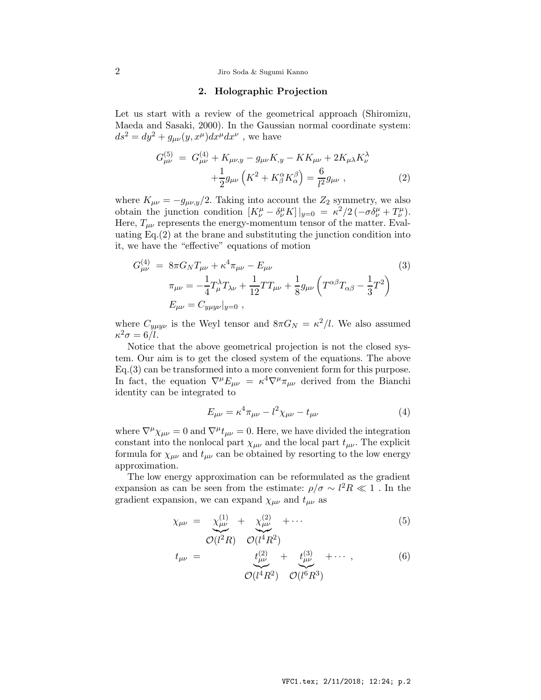# 2 Jiro Soda & Sugumi Kanno

# 2. Holographic Projection

Let us start with a review of the geometrical approach (Shiromizu, Maeda and Sasaki, 2000). In the Gaussian normal coordinate system:  $ds^2 = dy^2 + g_{\mu\nu}(y, x^{\mu})dx^{\mu}dx^{\nu}$ , we have

$$
G_{\mu\nu}^{(5)} = G_{\mu\nu}^{(4)} + K_{\mu\nu, y} - g_{\mu\nu} K_{,y} - K K_{\mu\nu} + 2 K_{\mu\lambda} K_{\nu}^{\lambda} + \frac{1}{2} g_{\mu\nu} \left( K^2 + K_{\beta}^{\alpha} K_{\alpha}^{\beta} \right) = \frac{6}{l^2} g_{\mu\nu} , \qquad (2)
$$

where  $K_{\mu\nu} = -g_{\mu\nu,y}/2$ . Taking into account the  $Z_2$  symmetry, we also obtain the junction condition  $[K^{\mu}_{\nu} - \delta^{\mu}_{\nu} K] |_{y=0} = \kappa^2/2 \left( -\sigma \delta^{\mu}_{\nu} + T^{\mu}_{\nu} \right)$ . Here,  $T_{\mu\nu}$  represents the energy-momentum tensor of the matter. Evaluating Eq.(2) at the brane and substituting the junction condition into it, we have the "effective" equations of motion

$$
G_{\mu\nu}^{(4)} = 8\pi G_N T_{\mu\nu} + \kappa^4 \pi_{\mu\nu} - E_{\mu\nu}
$$
\n
$$
\pi_{\mu\nu} = -\frac{1}{4} T_{\mu}^{\lambda} T_{\lambda\nu} + \frac{1}{12} T T_{\mu\nu} + \frac{1}{8} g_{\mu\nu} \left( T^{\alpha\beta} T_{\alpha\beta} - \frac{1}{3} T^2 \right)
$$
\n
$$
E_{\mu\nu} = C_{y\mu y\nu}|_{y=0},
$$
\n(3)

where  $C_{y\mu y\nu}$  is the Weyl tensor and  $8\pi G_N = \kappa^2/l$ . We also assumed  $\kappa^2 \sigma = 6/l.$ 

Notice that the above geometrical projection is not the closed system. Our aim is to get the closed system of the equations. The above Eq.(3) can be transformed into a more convenient form for this purpose. In fact, the equation  $\nabla^{\mu} E_{\mu\nu} = \kappa^4 \nabla^{\mu} \pi_{\mu\nu}$  derived from the Bianchi identity can be integrated to

$$
E_{\mu\nu} = \kappa^4 \pi_{\mu\nu} - l^2 \chi_{\mu\nu} - t_{\mu\nu}
$$
 (4)

where  $\nabla^{\mu}\chi_{\mu\nu} = 0$  and  $\nabla^{\mu}t_{\mu\nu} = 0$ . Here, we have divided the integration constant into the nonlocal part  $\chi_{\mu\nu}$  and the local part  $t_{\mu\nu}$ . The explicit formula for  $\chi_{\mu\nu}$  and  $t_{\mu\nu}$  can be obtained by resorting to the low energy approximation.

The low energy approximation can be reformulated as the gradient expansion as can be seen from the estimate:  $\rho/\sigma \sim l^2 R \ll 1$ . In the gradient expansion, we can expand  $\chi_{\mu\nu}$  and  $t_{\mu\nu}$  as

$$
\chi_{\mu\nu} = \frac{\chi_{\mu\nu}^{(1)}}{\mathcal{O}(l^2R)} + \frac{\chi_{\mu\nu}^{(2)}}{\mathcal{O}(l^4R^2)} + \cdots
$$
\n(5)

$$
t_{\mu\nu} = \frac{t_{\mu\nu}^{(2)}}{\mathcal{O}(l^4 R^2)} + \frac{t_{\mu\nu}^{(3)}}{\mathcal{O}(l^6 R^3)} + \cdots , \qquad (6)
$$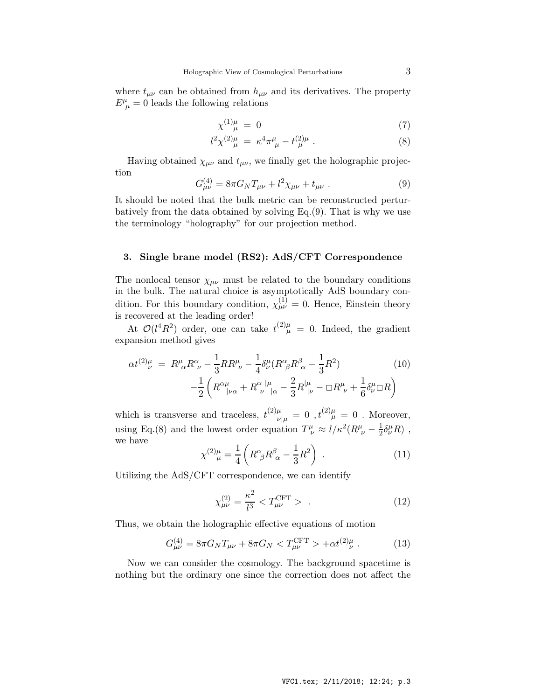where  $t_{\mu\nu}$  can be obtained from  $h_{\mu\nu}$  and its derivatives. The property  $E^{\mu}_{\ \mu} = 0$  leads the following relations

$$
\chi^{(1)\mu} = 0 \tag{7}
$$

$$
l^2 \chi^{(2)}_{\ \mu} = \kappa^4 \pi^{\mu}_{\ \mu} - t^{(2)\mu}_{\ \mu} \ . \tag{8}
$$

Having obtained  $\chi_{\mu\nu}$  and  $t_{\mu\nu}$ , we finally get the holographic projection

$$
G_{\mu\nu}^{(4)} = 8\pi G_N T_{\mu\nu} + l^2 \chi_{\mu\nu} + t_{\mu\nu} . \tag{9}
$$

It should be noted that the bulk metric can be reconstructed perturbatively from the data obtained by solving Eq.(9). That is why we use the terminology "holography" for our projection method.

## 3. Single brane model (RS2): AdS/CFT Correspondence

The nonlocal tensor  $\chi_{\mu\nu}$  must be related to the boundary conditions in the bulk. The natural choice is asymptotically AdS boundary condition. For this boundary condition,  $\chi^{(1)}_{\mu\nu} = 0$ . Hence, Einstein theory is recovered at the leading order!

At  $\mathcal{O}(l^4R^2)$  order, one can take  $t^{(2)\mu}_{\mu} = 0$ . Indeed, the gradient expansion method gives

$$
\alpha t^{(2)}_{\nu}^{\mu} = R^{\mu}_{\ \alpha} R^{\alpha}_{\ \nu} - \frac{1}{3} R R^{\mu}_{\ \nu} - \frac{1}{4} \delta^{\mu}_{\nu} (R^{\alpha}_{\ \beta} R^{\beta}_{\ \alpha} - \frac{1}{3} R^2) \qquad (10)
$$

$$
- \frac{1}{2} \left( R^{\alpha \mu}_{\ \ |\nu \alpha} + R^{\alpha}_{\ \nu}{}^{\ |\mu}_{\ |\alpha} - \frac{2}{3} R^{\ |\mu}_{\ |\nu} - \Box R^{\mu}_{\ \nu} + \frac{1}{6} \delta^{\mu}_{\nu} \Box R \right)
$$

which is transverse and traceless,  $t^{(2)\mu}_{\nu|\mu} = 0$ ,  $t^{(2)\mu}_{\mu} = 0$ . Moreover, using Eq.(8) and the lowest order equation  $T^{\mu}_{\ \nu} \approx l/\kappa^2 (R^{\mu}_{\ \nu} - \frac{1}{2})$  $\frac{1}{2}\delta^{\mu}_{\nu}R)$ , we have

$$
\chi^{(2)\mu}_{\mu} = \frac{1}{4} \left( R^{\alpha}_{\ \beta} R^{\beta}_{\ \alpha} - \frac{1}{3} R^2 \right) \ . \tag{11}
$$

Utilizing the AdS/CFT correspondence, we can identify

$$
\chi_{\mu\nu}^{(2)} = \frac{\kappa^2}{l^3} < T_{\mu\nu}^{\text{CFT}} > . \tag{12}
$$

Thus, we obtain the holographic effective equations of motion

$$
G_{\mu\nu}^{(4)} = 8\pi G_N T_{\mu\nu} + 8\pi G_N < T_{\mu\nu}^{\text{CFT}} > + \alpha t^{(2)}_{\nu}^{\mu} \,. \tag{13}
$$

Now we can consider the cosmology. The background spacetime is nothing but the ordinary one since the correction does not affect the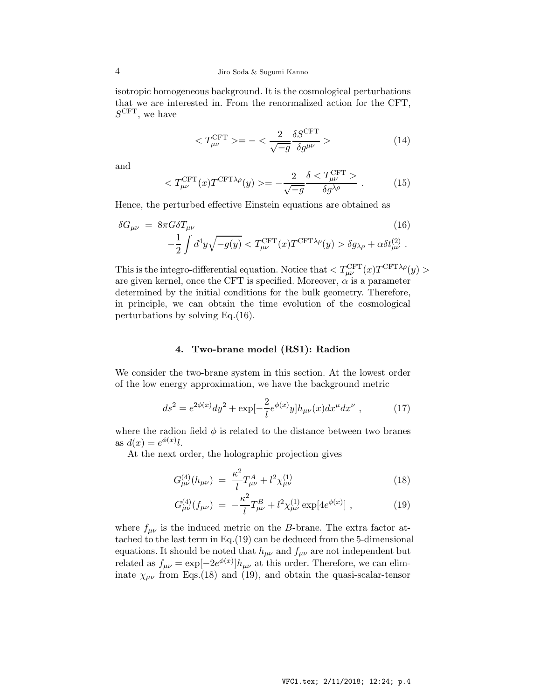isotropic homogeneous background. It is the cosmological perturbations that we are interested in. From the renormalized action for the CFT,  $S^{\text{CFT}}$ , we have

$$
\langle T_{\mu\nu}^{\text{CFT}} \rangle = -\langle \frac{2}{\sqrt{-g}} \frac{\delta S^{\text{CFT}}}{\delta g^{\mu\nu}} \rangle \tag{14}
$$

and

$$
\langle T_{\mu\nu}^{\text{CFT}}(x) T^{\text{CFT}\lambda\rho}(y) \rangle = -\frac{2}{\sqrt{-g}} \frac{\delta \langle T_{\mu\nu}^{\text{CFT}} \rangle}{\delta g^{\lambda\rho}} \,. \tag{15}
$$

Hence, the perturbed effective Einstein equations are obtained as

$$
\delta G_{\mu\nu} = 8\pi G \delta T_{\mu\nu} \tag{16}
$$
\n
$$
-\frac{1}{2} \int d^4 y \sqrt{-g(y)} < T_{\mu\nu}^{\text{CFT}}(x) T^{\text{CFT}\lambda\rho}(y) > \delta g_{\lambda\rho} + \alpha \delta t_{\mu\nu}^{(2)} \,.
$$

This is the integro-differential equation. Notice that  $\langle T_{\mu\nu}^{\text{CFT}}(x)T^{\text{CFT}\lambda\rho}(y)\rangle$ are given kernel, once the CFT is specified. Moreover,  $\alpha$  is a parameter determined by the initial conditions for the bulk geometry. Therefore, in principle, we can obtain the time evolution of the cosmological perturbations by solving Eq.(16).

# 4. Two-brane model (RS1): Radion

We consider the two-brane system in this section. At the lowest order of the low energy approximation, we have the background metric

$$
ds^{2} = e^{2\phi(x)}dy^{2} + \exp[-\frac{2}{l}e^{\phi(x)}y]h_{\mu\nu}(x)dx^{\mu}dx^{\nu} , \qquad (17)
$$

where the radion field  $\phi$  is related to the distance between two branes as  $d(x) = e^{\phi(x)}l$ .

At the next order, the holographic projection gives

$$
G_{\mu\nu}^{(4)}(h_{\mu\nu}) = \frac{\kappa^2}{l} T_{\mu\nu}^A + l^2 \chi_{\mu\nu}^{(1)} \tag{18}
$$

$$
G_{\mu\nu}^{(4)}(f_{\mu\nu}) = -\frac{\kappa^2}{l}T_{\mu\nu}^B + l^2\chi_{\mu\nu}^{(1)}\exp[4e^{\phi(x)}],\qquad(19)
$$

where  $f_{\mu\nu}$  is the induced metric on the B-brane. The extra factor attached to the last term in Eq.(19) can be deduced from the 5-dimensional equations. It should be noted that  $h_{\mu\nu}$  and  $f_{\mu\nu}$  are not independent but related as  $f_{\mu\nu} = \exp[-2e^{\phi(x)}]h_{\mu\nu}$  at this order. Therefore, we can eliminate  $\chi_{\mu\nu}$  from Eqs.(18) and (19), and obtain the quasi-scalar-tensor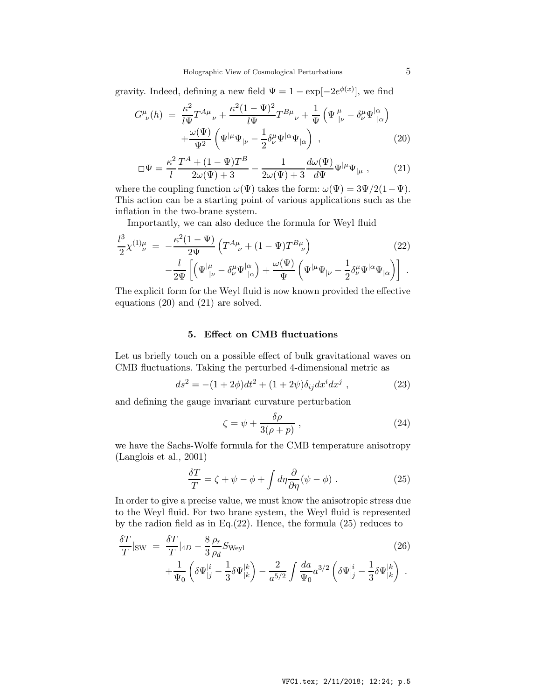gravity. Indeed, defining a new field  $\Psi = 1 - \exp[-2e^{\phi(x)}]$ , we find

$$
G^{\mu}_{\ \nu}(h) = \frac{\kappa^2}{l\Psi} T^{A\mu}_{\ \nu} + \frac{\kappa^2 (1 - \Psi)^2}{l\Psi} T^{B\mu}_{\ \nu} + \frac{1}{\Psi} \left( \Psi^{\mid \mu}_{\mid \nu} - \delta^{\mu}_{\nu} \Psi^{\mid \alpha}_{\mid \alpha} \right) + \frac{\omega(\Psi)}{\Psi^2} \left( \Psi^{\mid \mu} \Psi^{\mid \nu} - \frac{1}{2} \delta^{\mu}_{\nu} \Psi^{\mid \alpha}_{\mid \alpha} \right) , \qquad (20)
$$

$$
\Box \Psi = \frac{\kappa^2}{l} \frac{T^A + (1 - \Psi) T^B}{2\omega(\Psi) + 3} - \frac{1}{2\omega(\Psi) + 3} \frac{d\omega(\Psi)}{d\Psi} \Psi^{|\mu} \Psi_{|\mu} , \qquad (21)
$$

where the coupling function  $\omega(\Psi)$  takes the form:  $\omega(\Psi) = 3\Psi/2(1-\Psi)$ . This action can be a starting point of various applications such as the inflation in the two-brane system.

Importantly, we can also deduce the formula for Weyl fluid

$$
\frac{l^3}{2}\chi^{(1)}{}_{\nu}^{\mu} = -\frac{\kappa^2(1-\Psi)}{2\Psi} \left( T^{A\mu}_{\nu} + (1-\Psi) T^{B\mu}_{\nu} \right) \qquad (22)
$$

$$
-\frac{l}{2\Psi} \left[ \left( \Psi^{\mu}_{\mid \nu} - \delta^{\mu}_{\nu} \Psi^{\mid \alpha}_{\mid \alpha} \right) + \frac{\omega(\Psi)}{\Psi} \left( \Psi^{\mid \mu} \Psi^{\mid \nu} - \frac{1}{2} \delta^{\mu}_{\nu} \Psi^{\mid \alpha} \Psi^{\mid \alpha} \right) \right] \ .
$$

The explicit form for the Weyl fluid is now known provided the effective equations (20) and (21) are solved.

### 5. Effect on CMB fluctuations

Let us briefly touch on a possible effect of bulk gravitational waves on CMB fluctuations. Taking the perturbed 4-dimensional metric as

$$
ds^{2} = -(1+2\phi)dt^{2} + (1+2\psi)\delta_{ij}dx^{i}dx^{j} , \qquad (23)
$$

and defining the gauge invariant curvature perturbation

$$
\zeta = \psi + \frac{\delta \rho}{3(\rho + p)} \,, \tag{24}
$$

we have the Sachs-Wolfe formula for the CMB temperature anisotropy (Langlois et al., 2001)

$$
\frac{\delta T}{T} = \zeta + \psi - \phi + \int d\eta \frac{\partial}{\partial \eta} (\psi - \phi) . \tag{25}
$$

In order to give a precise value, we must know the anisotropic stress due to the Weyl fluid. For two brane system, the Weyl fluid is represented by the radion field as in Eq.(22). Hence, the formula (25) reduces to

$$
\frac{\delta T}{T}|_{\text{SW}} = \frac{\delta T}{T}|_{4D} - \frac{8}{3} \frac{\rho_r}{\rho_d} S_{\text{Weyl}} \n+ \frac{1}{\Psi_0} \left( \delta \Psi_{|j}^{|i} - \frac{1}{3} \delta \Psi_{|k}^{|k} \right) - \frac{2}{a^{5/2}} \int \frac{da}{\Psi_0} a^{3/2} \left( \delta \Psi_{|j}^{|i} - \frac{1}{3} \delta \Psi_{|k}^{|k} \right) .
$$
\n(26)